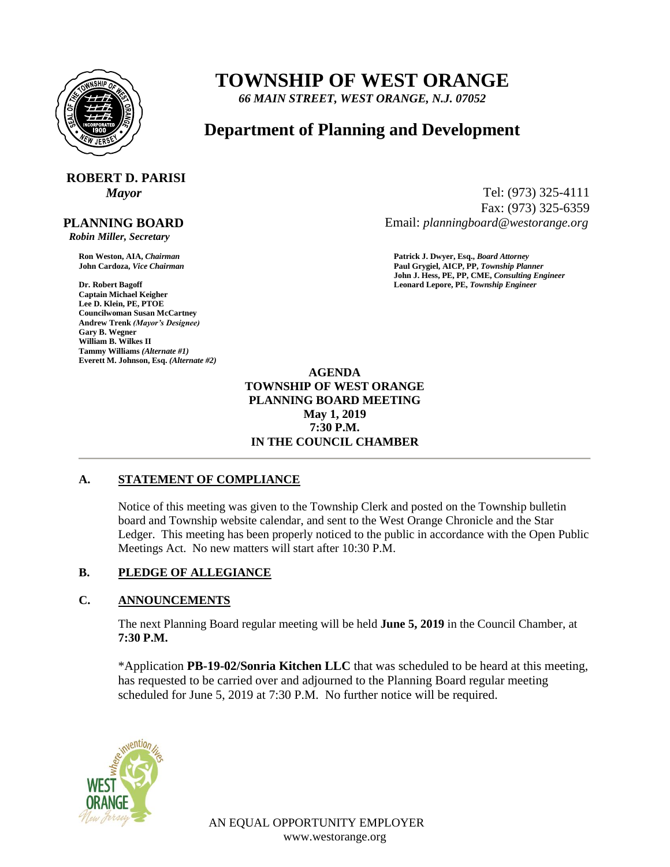

## **TOWNSHIP OF WEST ORANGE**

*66 MAIN STREET, WEST ORANGE, N.J. 07052*

### **Department of Planning and Development**

# **ROBERT D. PARISI**

 **PLANNING BOARD**  *Robin Miller, Secretary*

**Captain Michael Keigher Lee D. Klein, PE, PTOE Councilwoman Susan McCartney Andrew Trenk** *(Mayor's Designee)* **Gary B. Wegner William B. Wilkes II Tammy Williams** *(Alternate #1)* **Everett M. Johnson, Esq.** *(Alternate #2)*

*Mayor* Tel: (973) 325-4111 Fax: (973) 325-6359 Email: *planningboard@westorange.org*

**Ron Weston, AIA,** *Chairman* **Patrick J. Dwyer, Esq.,** *Board Attorney* **John Cardoza,** *Vice Chairman* **Paul Grygiel, AICP, PP,** *Township Planner* **John J. Hess, PE, PP, CME,** *Consulting Engineer* **Dr. Robert Bagoff Leonard Lepore, PE,** *Township Engineer*

> **AGENDA TOWNSHIP OF WEST ORANGE PLANNING BOARD MEETING May 1, 2019 7:30 P.M. IN THE COUNCIL CHAMBER**

#### **A. STATEMENT OF COMPLIANCE**

Notice of this meeting was given to the Township Clerk and posted on the Township bulletin board and Township website calendar, and sent to the West Orange Chronicle and the Star Ledger. This meeting has been properly noticed to the public in accordance with the Open Public Meetings Act. No new matters will start after 10:30 P.M.

#### **B. PLEDGE OF ALLEGIANCE**

#### **C. ANNOUNCEMENTS**

The next Planning Board regular meeting will be held **June 5, 2019** in the Council Chamber, at **7:30 P.M.**

\*Application **PB-19-02/Sonria Kitchen LLC** that was scheduled to be heard at this meeting, has requested to be carried over and adjourned to the Planning Board regular meeting scheduled for June 5, 2019 at 7:30 P.M. No further notice will be required.